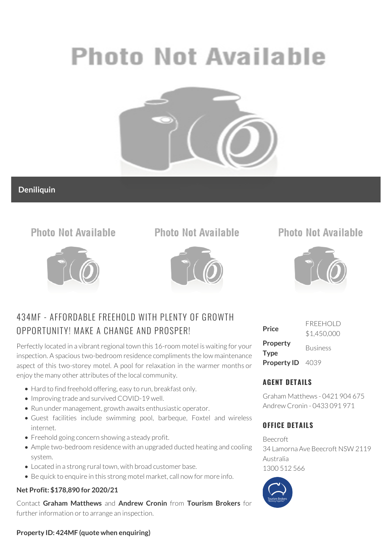# **Photo Not Available**



## **Deniliquin**

# **Photo Not Available**



# **Photo Not Available**



## 434MF - AFFORDABLE FREEHOLD WITH PLENTY OF GROWTH OPPORTUNITY! MAKE A CHANGE AND PROSPER!

Perfectly located in a vibrant regional town this 16-room motel is waiting for your inspection. A spacious two-bedroom residence compliments the low maintenance aspect of this two-storey motel. A pool for relaxation in the warmer months or enjoy the many other attributes of the local community.

- Hard to find freehold offering, easy to run, breakfast only.
- Improving trade and survived COVID-19 well.
- Run under management, growth awaits enthusiastic operator.
- Guest facilities include swimming pool, barbeque, Foxtel and wireless internet.
- Freehold going concern showing a steady profit.
- Ample two-bedroom residence with an upgraded ducted heating and cooling system.
- Located in a strong rural town, with broad customer base.
- Be quick to enquire in this strong motel market, call now for more info.

#### **Net Profit: \$178,890 for 2020/21**

Contact **Graham Matthews** and **Andrew Cronin** from **Tourism Brokers** for further information or to arrange an inspection.

# **Photo Not Available**



| Price                          | <b>FREEHOLD</b><br>\$1,450,000 |
|--------------------------------|--------------------------------|
| <b>Property</b><br><b>Type</b> | <b>Business</b>                |
| Property ID 4039               |                                |

## **AGENT DETAILS**

Graham Matthews - 0421 904 675 Andrew Cronin - 0433 091 971

### **OFFICE DETAILS**

Beecroft 34 Lamorna Ave Beecroft NSW 2119 Australia 1300 512 566



#### **Property ID: 424MF (quote when enquiring)**